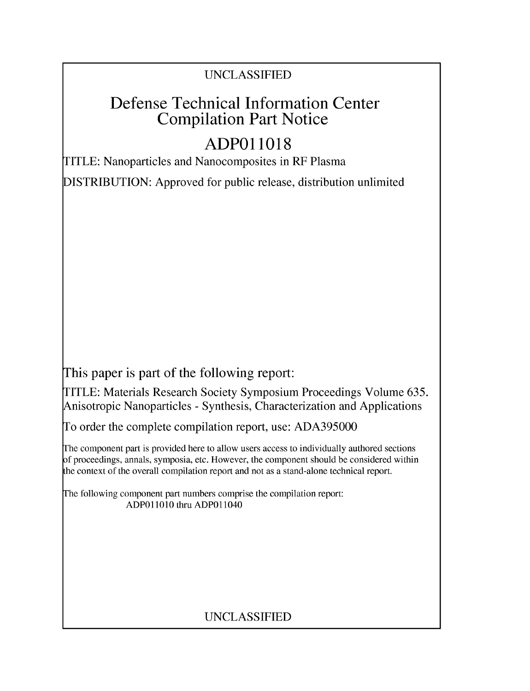# UNCLASSIFIED

# Defense Technical Information Center Compilation Part Notice

# **ADPO11018**

TITLE: Nanoparticles and Nanocomposites in RF Plasma

DISTRIBUTION: Approved for public release, distribution unlimited

This paper is part of the following report:

TITLE: Materials Research Society Symposium Proceedings Volume 635. Anisotropic Nanoparticles - Synthesis, Characterization and Applications

To order the complete compilation report, use: ADA395000

The component part is provided here to allow users access to individually authored sections f proceedings, annals, symposia, etc. However, the component should be considered within [he context of the overall compilation report and not as a stand-alone technical report.

The following component part numbers comprise the compilation report: **ADPO11010** thru ADPO11040

# UNCLASSIFIED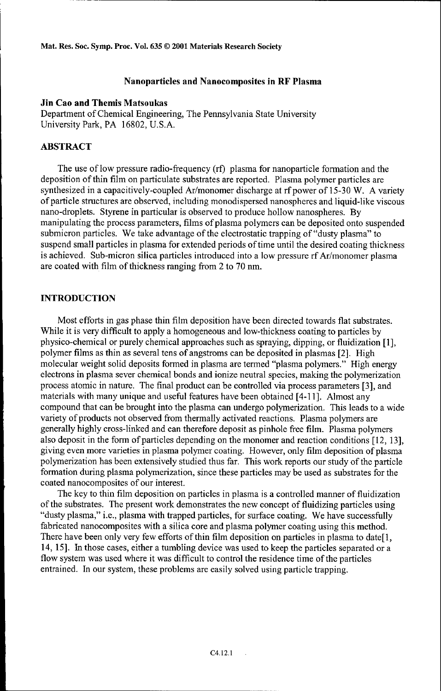Mat. Res. Soc. Symp. Proc. **Vol. 635 ©** 2001 Materials Research Society

### Nanoparticles and Nanocomposites in RF Plasma

#### Jin Cao and Themis Matsoukas

Department of Chemical Engineering, The Pennsylvania State University University Park, PA 16802, U.S.A.

# ABSTRACT

The use of low pressure radio-frequency (rf) plasma for nanoparticle formation and the deposition of thin film on particulate substrates are reported. Plasma polymer particles are synthesized in a capacitively-coupled Ar/monomer discharge at rf power of 15-30 W. A variety of particle structures are observed, including monodispersed nanospheres and liquid-like viscous nano-droplets. Styrene in particular is observed to produce hollow nanospheres. By manipulating the process parameters, films of plasma polymers can be deposited onto suspended submicron particles. We take advantage of the electrostatic trapping of "dusty plasma" to suspend small particles in plasma for extended periods of time until the desired coating thickness is achieved. Sub-micron silica particles introduced into a low pressure rf Ar/monomer plasma are coated with film of thickness ranging from 2 to 70 nm.

# **INTRODUCTION**

Most efforts in gas phase thin film deposition have been directed towards flat substrates. While it is very difficult to apply a homogeneous and low-thickness coating to particles by physico-chemical or purely chemical approaches such as spraying, dipping, or fluidization [1], polymer films as thin as several tens of angstroms can be deposited in plasmas [2]. High molecular weight solid deposits formed in plasma are termed "plasma polymers." High energy electrons in plasma sever chemical bonds and ionize neutral species, making the polymerization process atomic in nature. The final product can be controlled via process parameters [3], and materials with many unique and useful features have been obtained [4-11 ]. Almost any compound that can be brought into the plasma can undergo polymerization. This leads to a wide variety of products not observed from thermally activated reactions. Plasma polymers are generally highly cross-linked and can therefore deposit as pinhole free film. Plasma polymers also deposit in the form of particles depending on the monomer and reaction conditions [12, 13], giving even more varieties in plasma polymer coating. However, only film deposition of plasma polymerization has been extensively studied thus far. This work reports our study of the particle formation during plasma polymerization, since these particles may be used as substrates for the coated nanocomposites of our interest.

The key to thin film deposition on particles in plasma is a controlled manner of fluidization of the substrates. The present work demonstrates the new concept of fluidizing particles using "dusty plasma," i.e., plasma with trapped particles, for surface coating. We have successfully fabricated nanocomposites with a silica core and plasma polymer coating using this method. There have been only very few efforts of thin film deposition on particles in plasma to date[ **1,** 14, 15]. In those cases, either a tumbling device was used to keep the particles separated or a flow system was used where it was difficult to control the residence time of the particles entrained. In our system, these problems are easily solved using particle trapping.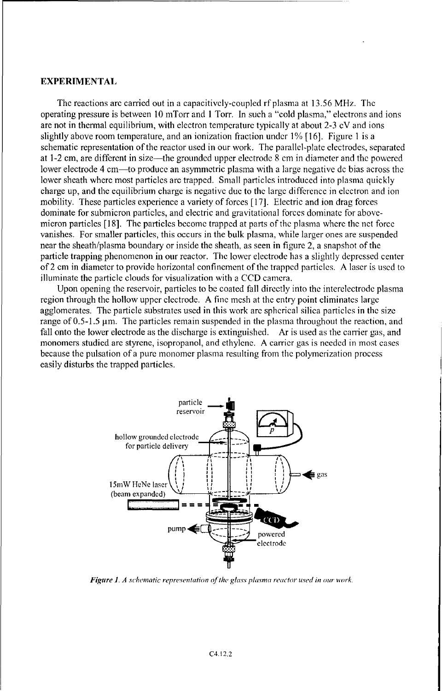#### EXPERIMENTAL

The reactions arc carried out in a capacitively-coupled rf plasma at 13.56 MHz. The operating pressure is between 10 mTorr and 1 Torr. In such a "cold plasma," electrons and ions are not in thermal equilibrium, with electron temperature typically at about 2-3 eV and ions slightly above room temperature, and an ionization fraction under 1% [16]. Figure 1 is a schematic representation of the reactor used in our work. The parallel-plate electrodes, separated at 1-2 cm, are different in size—the grounded upper electrode  $\bar{8}$  cm in diameter and the powered lower electrode 4 cm—to produce an asymmetric plasma with a large negative de bias across the lower sheath where most particles arc trapped. Small particles introduced into plasma quickly charge up, and the equilibrium charge is negative due to the large difference in electron and ion mobility. These particles experience a variety of forces [17]. Electric and ion drag forces dominate for submicron particles, and electric and gravitational forces dominate for abovemicron particles [18]. The particles become trapped at parts of the plasma where the net force vanishes. For smaller particles, this occurs in the bulk plasma, while larger ones are suspended near the sheath/plasma boundary or inside the sheath, as seen in figure 2, a snapshot of the particle trapping phenomenon in our reactor. The lower electrode has a slightly depressed center of 2 cm in diameter to provide horizontal confinement of the trapped particles. A laser is used to illuminate the particle clouds for visualization with a CCD camera.

Upon opening the reservoir, particles to be coated fall directly into the interelectrode plasma region through the hollow upper electrode. A fine mesh at the entry point eliminates large agglomerates. The particle substrates used in this work are spherical silica particles in the size range of  $0.5$ -1.5  $\mu$ m. The particles remain suspended in the plasma throughout the reaction, and fall onto the lower electrode as the discharge is extinguished. Ar is used as the carrier gas, and monomers studied are styrene, isopropanol, and ethylene. A carrier gas is needed in most cases because the pulsation of a pure monomer plasma resulting from the polymerization process easily disturbs the trapped particles.



*Figure 1. A schematic representation of the glass plasma reactor used in our work.*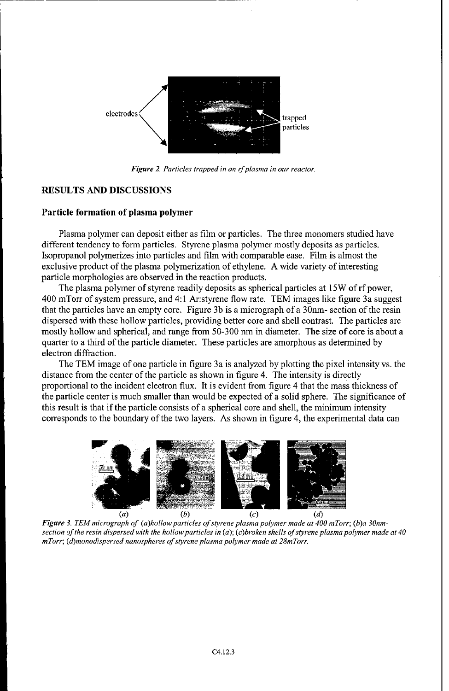

*Figure 2. Particles trapped in an rfplasma in our reactor.*

## RESULTS AND DISCUSSIONS

#### Particle formation of plasma polymer

Plasma polymer can deposit either as film or particles. The three monomers studied have different tendency to form particles. Styrene plasma polymer mostly deposits as particles. Isopropanol polymerizes into particles and film with comparable ease. Film is almost the exclusive product of the plasma polymerization of ethylene. A wide variety of interesting particle morphologies are observed in the reaction products.

The plasma polymer of styrene readily deposits as spherical particles at 15W of rf power, 400 mTorr of system pressure, and 4:1 Ar:styrene flow rate. TEM images like figure 3a suggest that the particles have an empty core. Figure 3b is a micrograph of a 30nm- section of the resin dispersed with these hollow particles, providing better core and shell contrast. The particles are mostly hollow and spherical, and range from 50-300 nm in diameter. The size of core is about a quarter to a third of the particle diameter. These particles are amorphous as determined by electron diffraction.

The TEM image of one particle in figure 3a is analyzed by plotting the pixel intensity vs. the distance from the center of the particle as shown in figure 4. The intensity is directly proportional to the incident electron flux. It is evident from figure 4 that the mass thickness of the particle center is much smaller than would be expected of a solid sphere. The significance of this result is that if the particle consists of a spherical core and shell, the minimum intensity corresponds to the boundary of the two layers. As shown in figure 4, the experimental data can



Figure 3. TEM micrograph of (a)hollow particles of styrene plasma polymer made at 400 mTorr; (b)a 30nm*section of the resin dispersed with the hollowparticles in (a); (c)broken shells of styrene plasma polymer made at 40 mTorr; (d)monodispersed nanospheres of styrene plasma polymer made at 28mTorr.*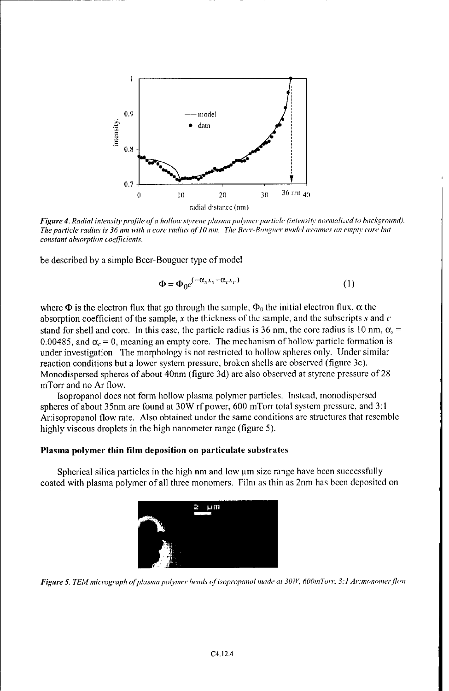

**Figure 4.** Radial intensity profile of a hollow styrene plasma polymer particle (intensity normalized to background). *The particle radius is 36 tint with a core radilus* **of] 0** inn. Tre *Beer-Bouguer model assutnes an enpiv* core *hilt constant absorption coefficients.*

be described by a simple Beer-Bouguer type of model

$$
\Phi = \Phi_0 e^{(-\alpha_s x_s - \alpha_c x_c)}
$$
\n(1)

where  $\Phi$  is the electron flux that go through the sample,  $\Phi_0$  the initial electron flux,  $\alpha$  the absorption coefficient of the sample, x the thickness of the sample, and the subscripts s and  $c$ stand for shell and core. In this case, the particle radius is 36 nm, the core radius is 10 nm,  $\alpha_s$  = 0.00485, and  $\alpha_c = 0$ , meaning an empty core. The mechanism of hollow particle formation is under investigation. The morphology is not restricted to hollow spheres only. Under similar reaction conditions but a lower system pressure, broken shells are observed (figure 3c). Monodispersed spheres of about 40nm (figure 3d) are also observed at styrene pressure of 28 mTorr and no Ar flow.

Isopropanol does not form hollow plasma polymer particles. Instead, monodispersed spheres of about 35nm are found at 30W rf power, 600 mTorr total system pressure, and 3:1 Ar:isopropanol flow rate. Also obtained under the same conditions are structures that resemble highly viscous droplets in the high nanometer range (figure 5).

## Plasma polymer thin film deposition on particulate substrates

Spherical silica particles in the high nm and low  $\mu$ m size range have been successfully coated with plasma polymer of all three monomers. Film as thin as 2nm has been deposited on



*Figure 5. TEM micrograph of plasma polymer beads of isopropanol made at 30W, 600mTorr, 3:1 Ar:monomer flow*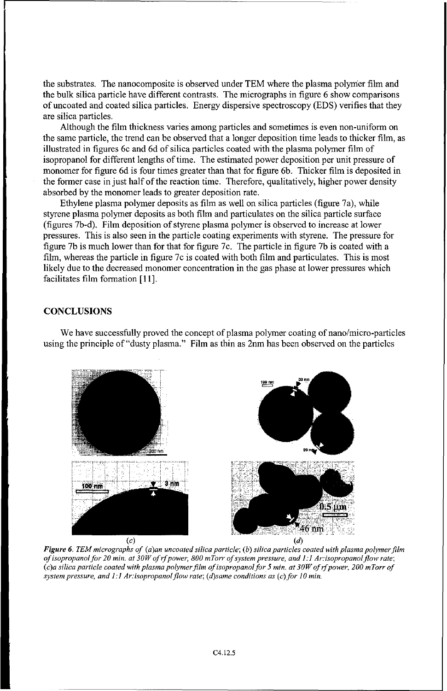the substrates. The nanocomposite is observed under TEM where the plasma polymer film and the bulk silica particle have different contrasts. The micrographs in figure 6 show comparisons of uncoated and coated silica particles. Energy dispersive spectroscopy (EDS) verifies that they are silica particles.

Although the film thickness varies among particles and sometimes is even non-uniform on the same particle, the trend can be observed that a longer deposition time leads to thicker film, as illustrated in figures 6c and 6d of silica particles coated with the plasma polymer film of isopropanol for different lengths of time. The estimated power deposition per unit pressure of monomer for figure 6d is four times greater than that for figure 6b. Thicker film is deposited in the former case in just half of the reaction time. Therefore, qualitatively, higher power density absorbed by the monomer leads to greater deposition rate.

Ethylene plasma polymer deposits as film as well on silica particles (figure 7a), while styrene plasma polymer deposits as both film and particulates on the silica particle surface (figures 7b-d). Film deposition of styrene plasma polymer is observed to increase at lower pressures. This is also seen in the particle coating experiments with styrene. The pressure for figure 7b is much lower than for that for figure 7c. The particle in figure 7b is coated with a film, whereas the particle in figure 7c is coated with both film and particulates. This is most likely due to the decreased monomer concentration in the gas phase at lower pressures which facilitates film formation [11].

### **CONCLUSIONS**

We have successfully proved the concept of plasma polymer coating of nano/micro-particles using the principle of "dusty plasma." Film as thin as 2nm has been observed on the particles



*Figure 6. TEM micrographs of (a)an uncoated silica particle; (b) silica particles coated with plasma polymer film of isopropanol for 20 min. at 30W of if power, 800 mTorr of system pressure, and 1:1 Ar:isopropanol flow rate; (c)a silica particle coated with plasma polymer film of isopropanol for 5 min. at 30W of ifpower, 200 mTorr of system pressure, and 1:1 Ar:isopropanol flow rate; (d)same conditions as (c)for 10 min.*